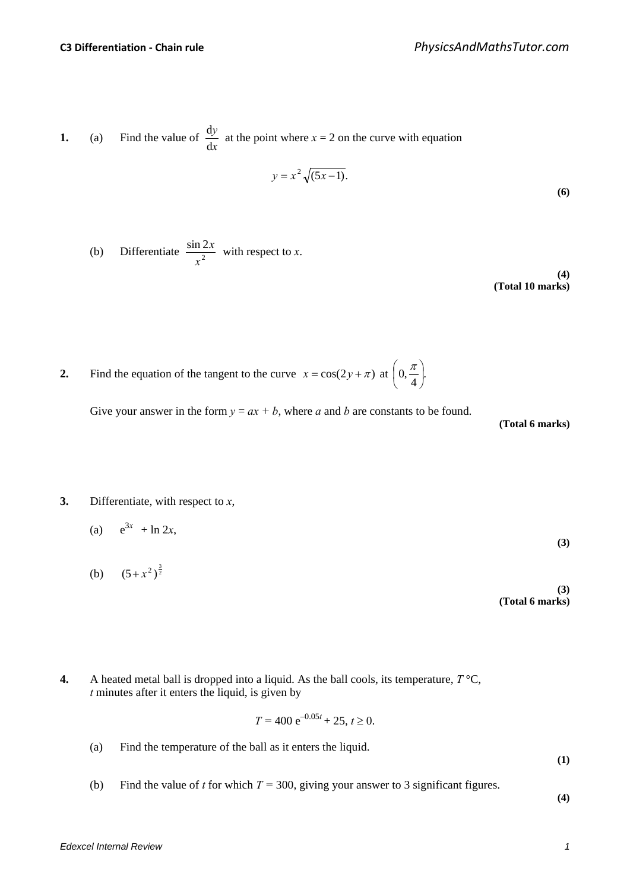**1.** (a) Find the value of *x y* d  $\frac{dy}{dx}$  at the point where  $x = 2$  on the curve with equation

$$
y = x^2 \sqrt{(5x - 1)}.
$$
 (6)

(b) Differentiate 
$$
\frac{\sin 2x}{x^2}
$$
 with respect to x.

**(4) (Total 10 marks)**

**2.** Find the equation of the tangent to the curve  $x = \cos(2y + \pi)$  at  $\left(0, \frac{\pi}{4}\right)$ .  $\left(0,\frac{\pi}{\cdot}\right)$ l  $x = \cos(2y + \pi)$  at  $\left(0, \frac{\pi}{4}\right)$ 

Give your answer in the form  $y = ax + b$ , where *a* and *b* are constants to be found.

**(Total 6 marks)**

**3.** Differentiate, with respect to *x*,

(a) 
$$
e^{3x} + \ln 2x
$$
, (3)

- (b)  $(5+x^2)^{\frac{3}{2}}$ **(3) (Total 6 marks)**
- **4.** A heated metal ball is dropped into a liquid. As the ball cools, its temperature,  $T^{\circ}C$ , *t* minutes after it enters the liquid, is given by

$$
T = 400 e^{-0.05t} + 25, t \ge 0.
$$

(a) Find the temperature of the ball as it enters the liquid.

**(1)**

(b) Find the value of *t* for which  $T = 300$ , giving your answer to 3 significant figures.

**(4)**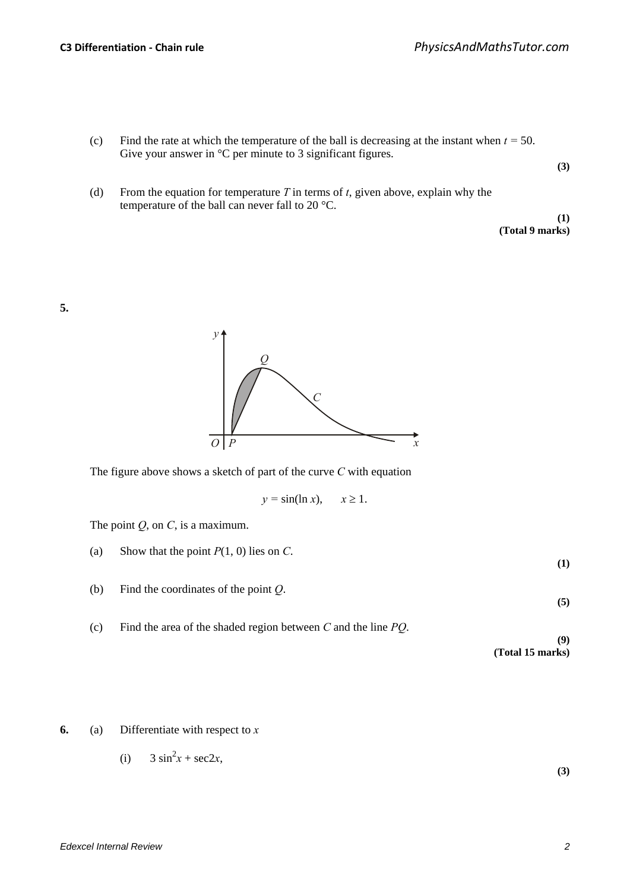- (c) Find the rate at which the temperature of the ball is decreasing at the instant when  $t = 50$ . Give your answer in  $\mathrm{^{\circ}C}$  per minute to 3 significant figures.
- (d) From the equation for temperature *T* in terms of *t*, given above, explain why the temperature of the ball can never fall to 20 °C.

**(1) (Total 9 marks)**

**(3)**

**5.**



The figure above shows a sketch of part of the curve *C* with equation

$$
y = \sin(\ln x), \quad x \ge 1.
$$

The point *Q*, on *C*, is a maximum.

- (a) Show that the point  $P(1, 0)$  lies on *C*.
- (b) Find the coordinates of the point *Q*.
- (c) Find the area of the shaded region between *C* and the line *PQ*.

**(9) (Total 15 marks)**

**6.** (a) Differentiate with respect to *x*

(i) 
$$
3 \sin^2 x + \sec 2x,
$$

**(3)**

**(1)**

**(5)**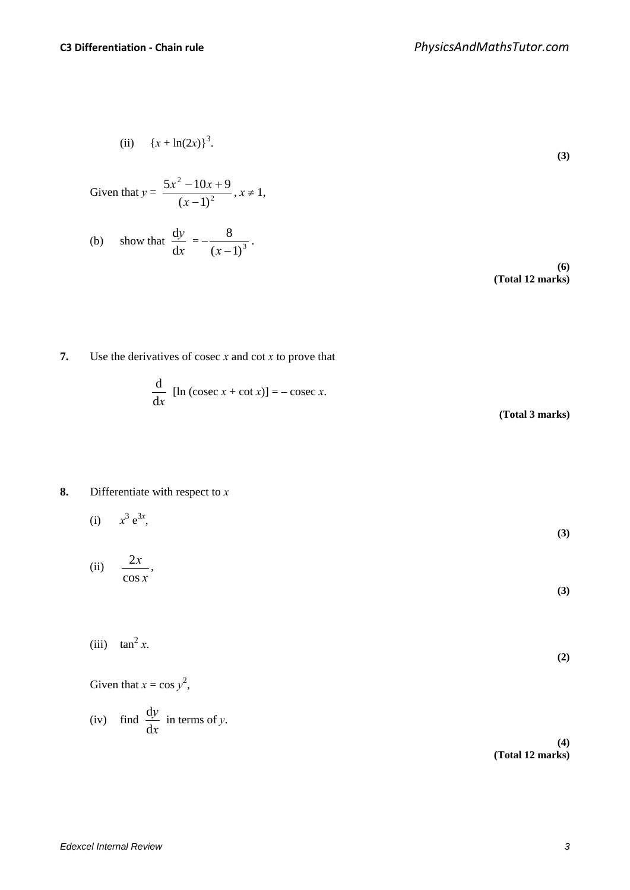(ii)  ${x + ln(2x)}^3$ .

Given that 
$$
y = \frac{5x^2 - 10x + 9}{(x - 1)^2}
$$
,  $x \ne 1$ ,  
\n(b) show that  $\frac{dy}{dx} = -\frac{8}{(x - 1)^3}$ .  
\n(6) (Total 12 marks)

**7.** Use the derivatives of cosec *x* and cot *x* to prove that

$$
\frac{d}{dx} [\ln (\csc x + \cot x)] = -\csc x.
$$

**(Total 3 marks)**

## **8.** Differentiate with respect to *x*

(i) 
$$
x^3 e^{3x}
$$
, (3)

(ii) 
$$
\frac{2x}{\cos x},
$$
 (3)

(iii) 
$$
\tan^2 x.
$$
 (2)

Given that  $x = \cos y^2$ ,

(iv) find 
$$
\frac{dy}{dx}
$$
 in terms of y.

**(4) (Total 12 marks)**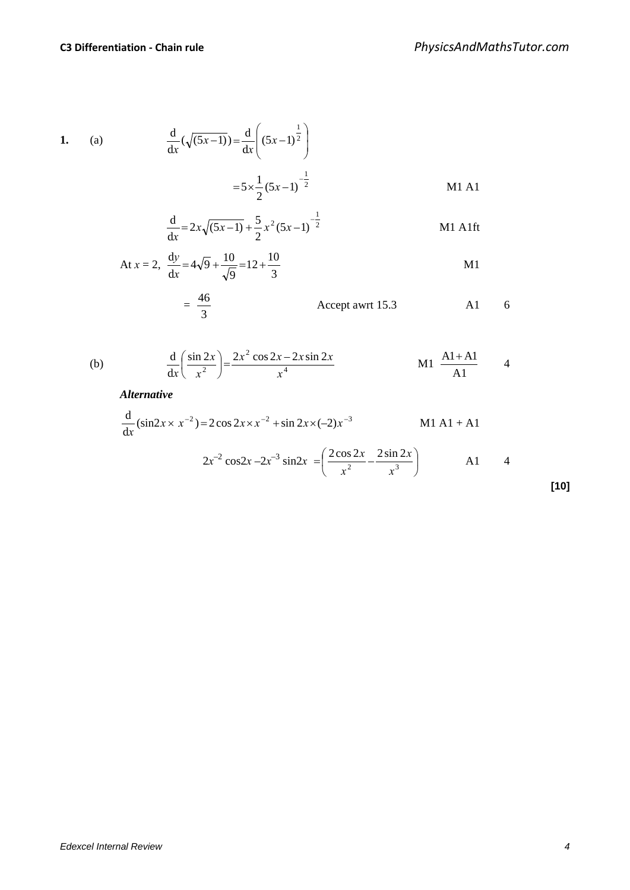1. (a) 
$$
\frac{d}{dx}(\sqrt{(5x-1)}) = \frac{d}{dx}\left((5x-1)^{\frac{1}{2}}\right)
$$

$$
= 5 \times \frac{1}{2}(5x-1)^{-\frac{1}{2}}
$$
 M1 A1

$$
\frac{d}{dx} = 2x\sqrt{(5x-1)} + \frac{5}{2}x^2(5x-1)^{-\frac{1}{2}}
$$
 M1 A1ft

At 
$$
x = 2
$$
,  $\frac{dy}{dx} = 4\sqrt{9} + \frac{10}{\sqrt{9}} = 12 + \frac{10}{3}$  M1

$$
= \frac{46}{3}
$$
 Accept a wrt 15.3 A1 6

(b) 
$$
\frac{d}{dx} \left( \frac{\sin 2x}{x^2} \right) = \frac{2x^2 \cos 2x - 2x \sin 2x}{x^4} \qquad \qquad \text{M1} \frac{A1 + A1}{A1} \qquad 4
$$

*Alternative*

$$
\frac{d}{dx}(\sin 2x \times x^{-2}) = 2\cos 2x \times x^{-2} + \sin 2x \times (-2)x^{-3}
$$
 M1 A1 + A1

$$
2x^{-2}\cos 2x - 2x^{-3}\sin 2x = \left(\frac{2\cos 2x}{x^2} - \frac{2\sin 2x}{x^3}\right)
$$
 A1 4

| ×<br>۰. |
|---------|
|---------|

*Edexcel Internal Review 4*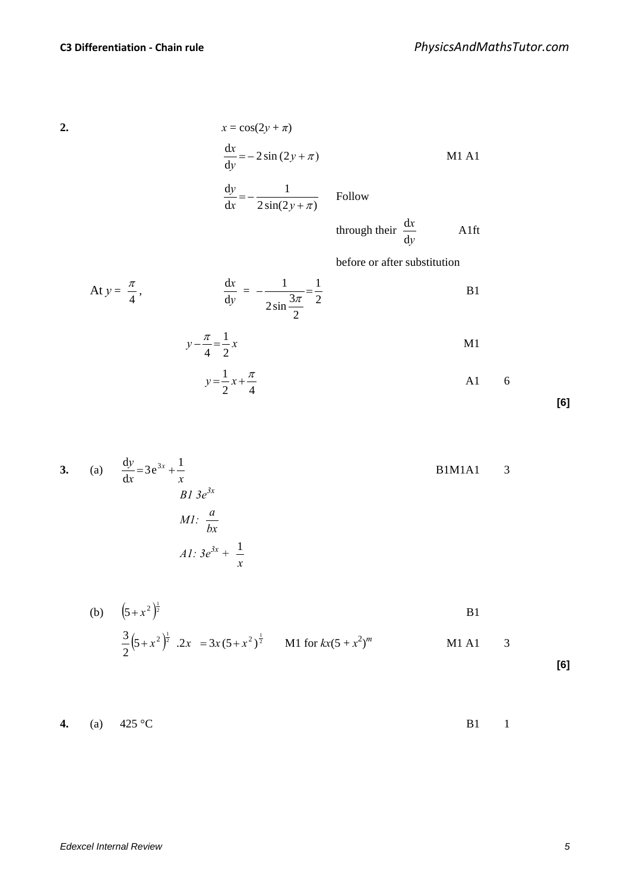$$
\mathbf{2}.
$$

2. 
$$
x = \cos(2y + \pi)
$$

$$
\frac{dx}{dy} = -2\sin(2y + \pi)
$$
MI A1  

$$
\frac{dy}{dx} = -\frac{1}{2\sin(2y + \pi)}
$$
Follow

through their *y x* d <sup>d</sup> A1ft

before or after substitution

At 
$$
y = \frac{\pi}{4}
$$
,  $\frac{dx}{dy} = -\frac{1}{2\sin\frac{3\pi}{2}} = \frac{1}{2}$   
  
 $y - \frac{\pi}{4} = \frac{1}{2}x$   
  
 $y = \frac{1}{2}x + \frac{\pi}{4}$  A1 6

**[6]**

3. (a) 
$$
\frac{dy}{dx} = 3e^{3x} + \frac{1}{x}
$$
  
\n*B1 M1A1* 3  
\n*B1 3e<sup>3x</sup>*  
\n*M1:*  $\frac{a}{bx}$   
\n*A1:*  $3e^{3x} + \frac{1}{x}$ 

(b) 
$$
(5+x^2)^{\frac{1}{2}}
$$
  
\n $\frac{3}{2}(5+x^2)^{\frac{1}{2}}$   $.2x = 3x(5+x^2)^{\frac{1}{2}}$   
\nM1 for  $kx(5+x^2)^m$   
\nM1 A1 3

**[6]**

**4.** (a) 
$$
425^{\circ}\text{C}
$$
 B1 1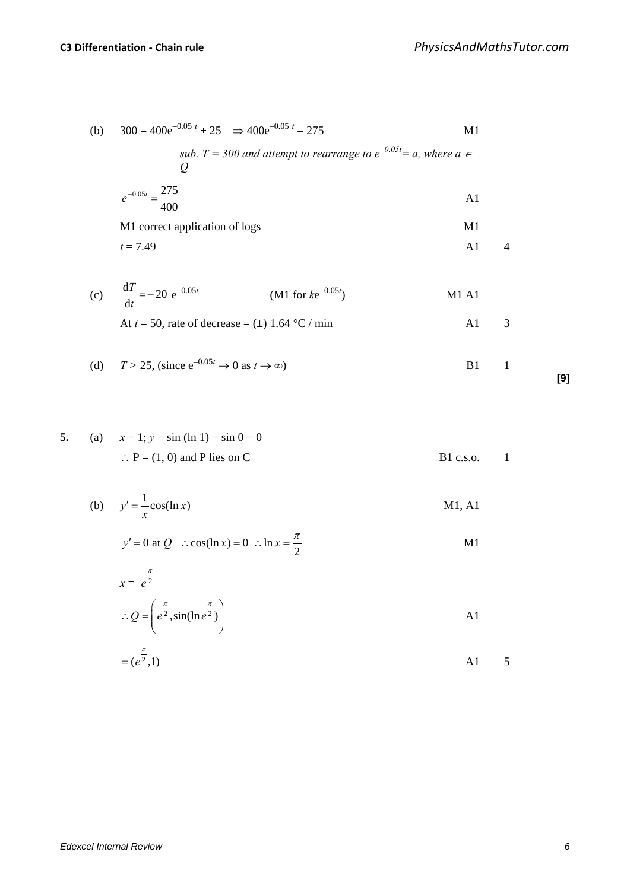(b) 
$$
300 = 400e^{-0.05t} + 25 \Rightarrow 400e^{-0.05t} = 275
$$
 M1  
\n*sub.*  $T = 300$  and attempt to rearrange to  $e^{-0.05t} = a$ , where  $a \in Q$   
\n $e^{-0.05t} = \frac{275}{400}$  A1  
\nM1 correct application of logs M1  
\n $t = 7.49$  A1 4  
\n(c)  $\frac{dT}{dt} = -20 e^{-0.05t}$  (M1 for  $ke^{-0.05t}$ ) M1 A1  
\nAt  $t = 50$ , rate of decrease =  $(\pm)$  1.64 °C / min A1 3

(d) 
$$
T > 25
$$
, (since  $e^{-0.05t} \to 0$  as  $t \to \infty$ )   
 B1 1

$$
^{[9]}
$$

5. (a) 
$$
x = 1; y = \sin (\ln 1) = \sin 0 = 0
$$
  
\n $\therefore P = (1, 0) \text{ and } P \text{ lies on } C$  B1 c.s.0. 1

(b) 
$$
y' = \frac{1}{x} \cos(\ln x)
$$
 M1, A1

$$
y' = 0 \text{ at } Q \quad \therefore \cos(\ln x) = 0 \quad \therefore \ln x = \frac{\pi}{2}
$$

$$
\therefore Q = \left( e^{\frac{\pi}{2}}, \sin(\ln e^{\frac{\pi}{2}}) \right)
$$

$$
=(e^{\frac{\pi}{2}},1)
$$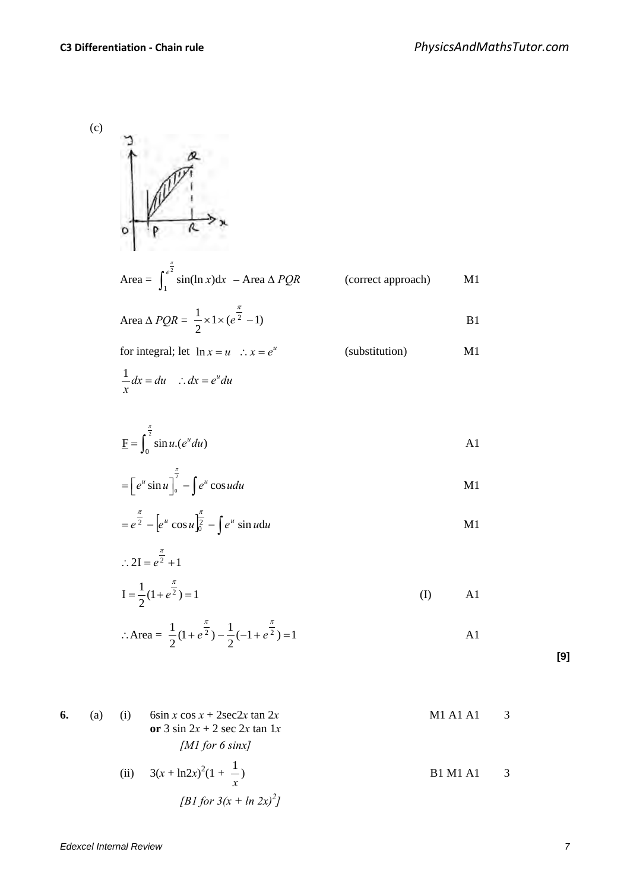(c)

Area = 
$$
\int_{1}^{e^{\frac{x}{2}}}\sin(\ln x)dx
$$
 - Area  $\triangle PQR$  (correct approach)  
\nArea  $\triangle PQR = \frac{1}{2} \times 1 \times (e^{\frac{\pi}{2}} - 1)$   
\nFor integral; let  $\ln x = u$   $\therefore x = e^u$  (substitution)  
\n $\frac{1}{x}dx = du$   $\therefore dx = e^u du$   
\n $\underline{F} = \int_{0}^{\frac{\pi}{2}}\sin u.(e^u du)$  A1  
\n $= [e^u \sin u]_0^{\frac{\pi}{2}} - \int e^u \cos u du$  M1  
\n $= e^{\frac{\pi}{2}} - [e^u \cos u]_0^{\frac{\pi}{2}} - \int e^u \sin u du$  M1

$$
I = \frac{1}{2}(1 + e^{\frac{\pi}{2}}) = 1
$$
 (I) A1

$$
\therefore \text{Area} = \frac{1}{2} (1 + e^{\frac{\pi}{2}}) - \frac{1}{2} (-1 + e^{\frac{\pi}{2}}) = 1
$$

**[9]**

6. (a) (i) 
$$
6\sin x \cos x + 2\sec 2x \tan 2x
$$
  
\nor  $3 \sin 2x + 2 \sec 2x \tan 1x$   
\n*[M1 for 6 sinx]*  
\n(ii)  $3(x + \ln 2x)^2(1 + \frac{1}{x})$   
\n**B1 M1 A1** 3

$$
[B1 for 3(x + ln 2x)^2]
$$

∴ 2I =  $e^{\frac{\pi}{2}} + 1$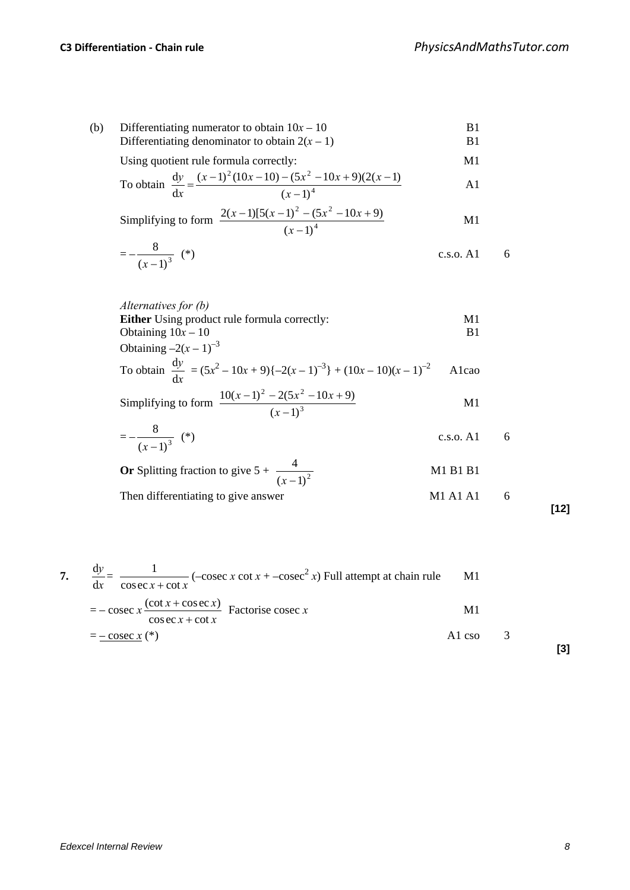(b) Differentiating numerator to obtain  $10x - 10$  B1<br>Differentiating denominator to obtain  $2(x - 1)$  B1 Differentiating denominator to obtain  $2(x - 1)$ 

Using quotient rule formula correctly: M1

To obtain 
$$
\frac{dy}{dx} = \frac{(x-1)^2 (10x-10) - (5x^2 - 10x + 9)(2(x-1))}{(x-1)^4}
$$

Simplifying to form 
$$
\frac{2(x-1)[5(x-1)^2 - (5x^2 - 10x + 9)}{(x-1)^4}
$$
 M1

$$
=-\frac{8}{(x-1)^3} (*)
$$
 c.s.o. A1 6

| Alternatives for (b)                                                                   |       |
|----------------------------------------------------------------------------------------|-------|
| <b>Either</b> Using product rule formula correctly:                                    | M1    |
| Obtaining $10x - 10$                                                                   | R1    |
| Obtaining $-2(x-1)^{-3}$                                                               |       |
| To obtain $\frac{dy}{dx} = (5x^2 - 10x + 9) (-2(x - 1)^{-3}) + (10x - 10)(x - 1)^{-2}$ | Alcao |

Simplifying to form 
$$
\frac{10(x-1)^2 - 2(5x^2 - 10x + 9)}{(x-1)^3}
$$
 M1

$$
=-\frac{8}{(x-1)^3} (*)
$$
 c.s.o. A1 6

**Or** Splitting fraction to give 
$$
5 + \frac{4}{(x-1)^2}
$$
  
Then differentiating to give answer   
M1 A1 A1 6

**[12]**

**[3]**

7. 
$$
\frac{dy}{dx} = \frac{1}{\csc x + \cot x} (-\csc x \cot x + -\csc^2 x)
$$
 Full attempt at chain rule M1  
=  $-\csc x \frac{(\cot x + \csc x)}{\cos \csc x + \cot x}$  Factorise cosec x M1  
=  $-\csc x (*)$  A1 cso 3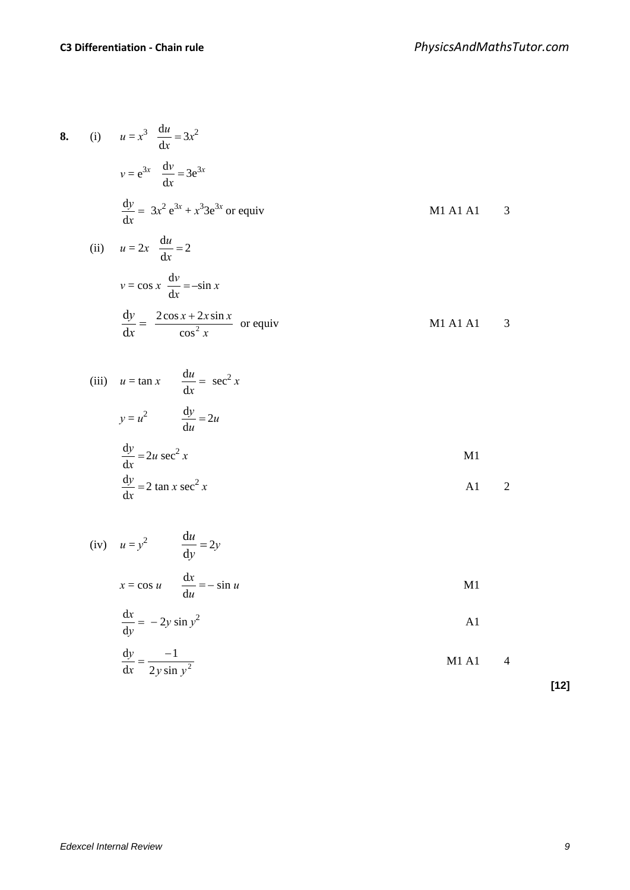**8.** (i) *u* = *x*

(i) 
$$
u = x^3 \frac{du}{dx} = 3x^2
$$
  
\n $v = e^{3x} \frac{dv}{dx} = 3e^{3x}$   
\n $\frac{dy}{dx} = 3x^2 e^{3x} + x^3 3e^{3x}$  or equiv  
\n $\frac{dy}{dx} = 3x^2 e^{3x} + x^3 3e^{3x}$  or equiv  
\n $u = 2x \frac{du}{dx} = 2$   
\n $v = \cos x \frac{dv}{dx} = -\sin x$   
\n $\frac{dy}{dx} = \frac{2\cos x + 2x \sin x}{\cos^2 x}$  or equiv  
\n $\frac{dv}{dx} = \frac{2\cos x + 2x \sin x}{\cos^2 x}$  or equiv  
\n $\frac{dv}{dx} = \frac{2x}{\sin x} \sec^2 x$   
\n $y = u^2 \frac{dy}{du} = 2u$   
\n $\frac{dy}{dx} = 2u \sec^2 x$   
\n $\frac{dv}{dx} = 2 \tan x \sec^2 x$   
\n $x = \cos u \frac{du}{du} = -\sin u$   
\n $\frac{dx}{dy} = -2y \sin y^2$   
\n $\frac{dy}{dx} = \frac{-1}{2y \sin y^2}$   
\n $11 \frac{dy}{dx} = \frac{-1}{2y \sin y^2}$   
\n $11 \frac{dy}{dx} = \frac{-1}{2y \sin y^2}$   
\n $11 \frac{dy}{dx} = \frac{-1}{2y \sin y^2}$   
\n $11 \frac{dy}{dx} = \frac{-1}{2y \sin y^2}$   
\n $11 \frac{dy}{dx} = \frac{-1}{2y \sin y^2}$   
\n $11 \frac{dy}{dx} = \frac{-1}{2y \tan x} \tan y$ 

**[12]**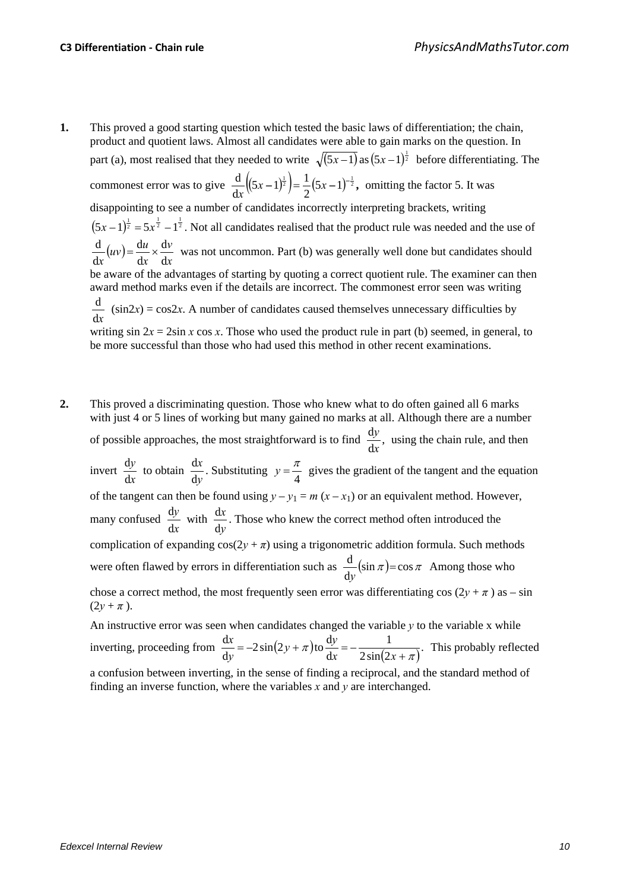- **1.** This proved a good starting question which tested the basic laws of differentiation; the chain, product and quotient laws. Almost all candidates were able to gain marks on the question. In part (a), most realised that they needed to write  $\sqrt{(5x-1)}$  as  $(5x-1)^{\frac{1}{2}}$  before differentiating. The commonest error was to give  $\frac{d}{dx}((5x-1)^{\frac{1}{2}})=\frac{1}{2}(5x-1)^{-\frac{1}{2}}$ , 2  $(5x-1)^{\frac{1}{2}} = \frac{1}{2}$ d  $\frac{d}{dx}((5x-1)^{\frac{1}{2}})=\frac{1}{2}(5x-1)^{-\frac{1}{2}}$ , omitting the factor 5. It was disappointing to see a number of candidates incorrectly interpreting brackets, writing  $(5x-1)^{\frac{1}{2}} = 5x^{\frac{1}{2}} - 1^{\frac{1}{2}}$ . Not all candidates realised that the product rule was needed and the use of  $(uv)$ *x v x*  $(uv) = \frac{du}{v}$  $x \rightarrow dx$  d d d d d  $\frac{d}{dx}(uv) = \frac{du}{dx} \times \frac{dv}{dx}$  was not uncommon. Part (b) was generally well done but candidates should be aware of the advantages of starting by quoting a correct quotient rule. The examiner can then award method marks even if the details are incorrect. The commonest error seen was writing d*x*  $(sin2x) = cos2x$ . A number of candidates caused themselves unnecessary difficulties by writing  $\sin 2x = 2\sin x \cos x$ . Those who used the product rule in part (b) seemed, in general, to be more successful than those who had used this method in other recent examinations.
- **2.** This proved a discriminating question. Those who knew what to do often gained all 6 marks with just 4 or 5 lines of working but many gained no marks at all. Although there are a number of possible approaches, the most straightforward is to find  $\frac{dy}{dx}$ , *x*  $\frac{y}{x}$ , using the chain rule, and then invert *x y* d  $\frac{dy}{dx}$  to obtain *y x*  $\frac{dx}{dy}$ . Substituting  $y = \frac{\pi}{4}$  gives the gradient of the tangent and the equation of the tangent can then be found using  $y - y_1 = m(x - x_1)$  or an equivalent method. However, many confused *x y* d  $\frac{dy}{dx}$  with *y x* d  $\frac{dx}{dt}$ . Those who knew the correct method often introduced the complication of expanding  $cos(2y + \pi)$  using a trigonometric addition formula. Such methods were often flawed by errors in differentiation such as  $\frac{d}{dx}(\sin \pi) = \cos \pi$  $\frac{d}{dy}(\sin \pi) = \cos \pi$  Among those who chose a correct method, the most frequently seen error was differentiating cos  $(2y + \pi)$  as – sin  $(2y + \pi)$ . An instructive error was seen when candidates changed the variable  $y$  to the variable x while d

inverting, proceeding from  $\frac{dx}{dy} = -2\sin(2y + \pi)$  to  $\frac{dy}{dx} = -\frac{1}{2\sin(2x + \pi)}$ . d π  $=-2\sin(2y + \pi)\cos{\frac{dy}{dx}} = -\frac{1}{2\sin(2x +$  $y + \pi$ ) to  $\frac{dy}{dx}$ *y*  $\frac{x}{x} = -2\sin(2y + \pi)$  to  $\frac{dy}{dx} = -\frac{1}{2(2x + 2)^2}$ . This probably reflected a confusion between inverting, in the sense of finding a reciprocal, and the standard method of finding an inverse function, where the variables *x* and *y* are interchanged.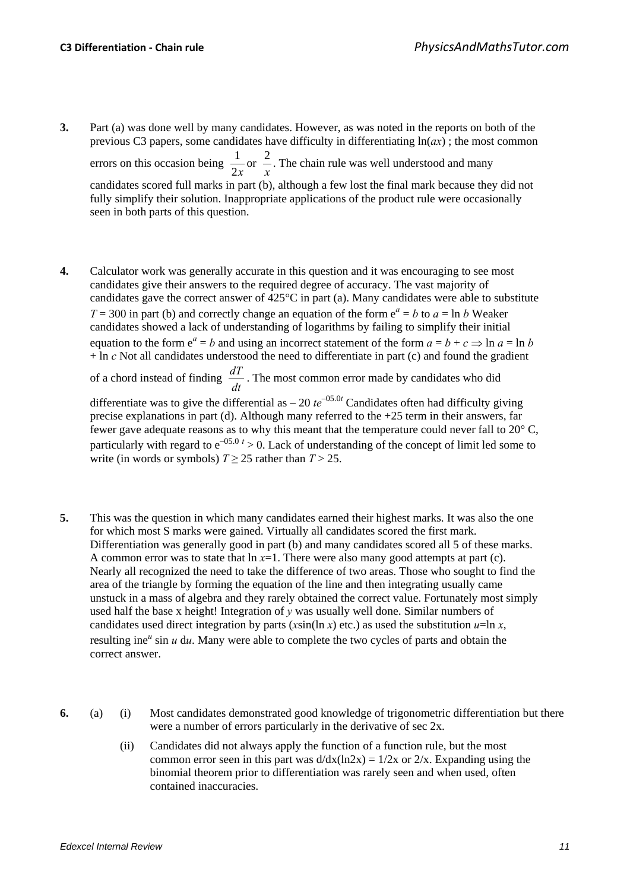- **3.** Part (a) was done well by many candidates. However, as was noted in the reports on both of the previous C3 papers, some candidates have difficulty in differentiating  $ln(ax)$ ; the most common errors on this occasion being  $\frac{1}{2x}$  or *x*  $\frac{2}{x}$ . The chain rule was well understood and many candidates scored full marks in part (b), although a few lost the final mark because they did not fully simplify their solution. Inappropriate applications of the product rule were occasionally seen in both parts of this question.
- **4.** Calculator work was generally accurate in this question and it was encouraging to see most candidates give their answers to the required degree of accuracy. The vast majority of candidates gave the correct answer of 425°C in part (a). Many candidates were able to substitute  $T = 300$  in part (b) and correctly change an equation of the form  $e^a = b$  to  $a = \ln b$  Weaker candidates showed a lack of understanding of logarithms by failing to simplify their initial equation to the form  $e^a = b$  and using an incorrect statement of the form  $a = b + c \Rightarrow \ln a = \ln b$  $+$  ln  $c$  Not all candidates understood the need to differentiate in part (c) and found the gradient of a chord instead of finding  $\frac{dT}{dt}$ . The most common error made by candidates who did differentiate was to give the differential as  $-20 \te^{-0.05}$  Candidates often had difficulty giving precise explanations in part (d). Although many referred to the +25 term in their answers, far fewer gave adequate reasons as to why this meant that the temperature could never fall to 20° C, particularly with regard to  $e^{-0.05}$   $\ell > 0$ . Lack of understanding of the concept of limit led some to write (in words or symbols)  $T \ge 25$  rather than  $T > 25$ .
- **5.** This was the question in which many candidates earned their highest marks. It was also the one for which most S marks were gained. Virtually all candidates scored the first mark. Differentiation was generally good in part (b) and many candidates scored all 5 of these marks. A common error was to state that ln *x*=1. There were also many good attempts at part (c). Nearly all recognized the need to take the difference of two areas. Those who sought to find the area of the triangle by forming the equation of the line and then integrating usually came unstuck in a mass of algebra and they rarely obtained the correct value. Fortunately most simply used half the base x height! Integration of *y* was usually well done. Similar numbers of candidates used direct integration by parts ( $x\sin(\ln x)$  etc.) as used the substitution  $u=\ln x$ , resulting ine<sup>u</sup> sin *u* d*u*. Many were able to complete the two cycles of parts and obtain the correct answer.
- **6.** (a) (i) Most candidates demonstrated good knowledge of trigonometric differentiation but there were a number of errors particularly in the derivative of sec 2x.
	- (ii) Candidates did not always apply the function of a function rule, but the most common error seen in this part was  $d/dx(ln2x) = 1/2x$  or  $2/x$ . Expanding using the binomial theorem prior to differentiation was rarely seen and when used, often contained inaccuracies.